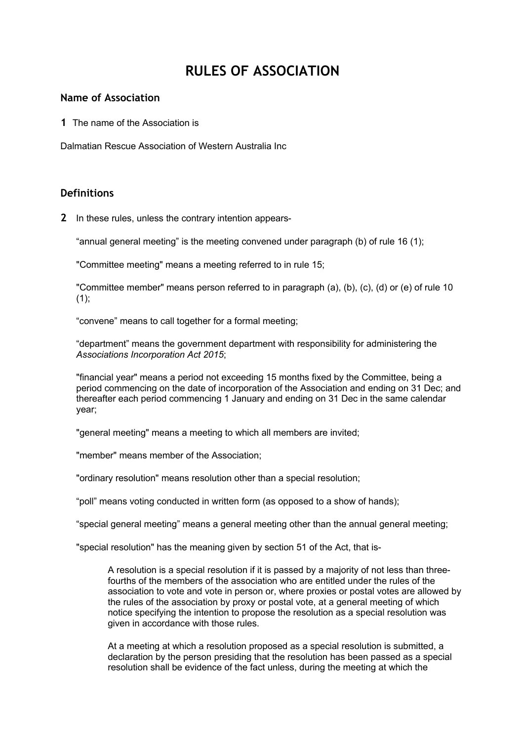# **RULES OF ASSOCIATION**

#### **Name of Association**

**1** The name of the Association is

Dalmatian Rescue Association of Western Australia Inc

#### **Definitions**

**2** In these rules, unless the contrary intention appears-

"annual general meeting" is the meeting convened under paragraph (b) of rule 16 (1);

"Committee meeting" means a meeting referred to in rule 15;

"Committee member" means person referred to in paragraph (a), (b), (c), (d) or (e) of rule 10  $(1)$ ;

"convene" means to call together for a formal meeting;

"department" means the government department with responsibility for administering the *Associations Incorporation Act 2015*;

"financial year" means a period not exceeding 15 months fixed by the Committee, being a period commencing on the date of incorporation of the Association and ending on 31 Dec; and thereafter each period commencing 1 January and ending on 31 Dec in the same calendar year;

"general meeting" means a meeting to which all members are invited;

"member" means member of the Association;

"ordinary resolution" means resolution other than a special resolution;

"poll" means voting conducted in written form (as opposed to a show of hands);

"special general meeting" means a general meeting other than the annual general meeting;

"special resolution" has the meaning given by section 51 of the Act, that is-

A resolution is a special resolution if it is passed by a majority of not less than threefourths of the members of the association who are entitled under the rules of the association to vote and vote in person or, where proxies or postal votes are allowed by the rules of the association by proxy or postal vote, at a general meeting of which notice specifying the intention to propose the resolution as a special resolution was given in accordance with those rules.

At a meeting at which a resolution proposed as a special resolution is submitted, a declaration by the person presiding that the resolution has been passed as a special resolution shall be evidence of the fact unless, during the meeting at which the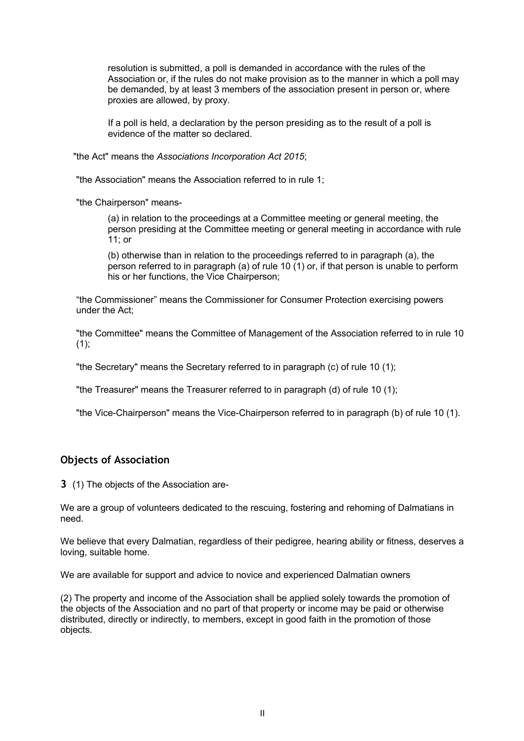resolution is submitted, a poll is demanded in accordance with the rules of the Association or, if the rules do not make provision as to the manner in which a poll may be demanded, by at least 3 members of the association present in person or, where proxies are allowed, by proxy.

If a poll is held, a declaration by the person presiding as to the result of a poll is evidence of the matter so declared.

"the Act" means the *Associations Incorporation Act 2015*;

"the Association" means the Association referred to in rule 1;

"the Chairperson" means-

(a) in relation to the proceedings at a Committee meeting or general meeting, the person presiding at the Committee meeting or general meeting in accordance with rule 11; or

(b) otherwise than in relation to the proceedings referred to in paragraph (a), the person referred to in paragraph (a) of rule 10 (1) or, if that person is unable to perform his or her functions, the Vice Chairperson;

"the Commissioner" means the Commissioner for Consumer Protection exercising powers under the Act;

"the Committee" means the Committee of Management of the Association referred to in rule 10  $(1)$ :

"the Secretary" means the Secretary referred to in paragraph (c) of rule 10 (1);

"the Treasurer" means the Treasurer referred to in paragraph (d) of rule 10 (1);

"the Vice-Chairperson" means the Vice-Chairperson referred to in paragraph (b) of rule 10 (1).

#### **Objects of Association**

**3** (1) The objects of the Association are-

We are a group of volunteers dedicated to the rescuing, fostering and rehoming of Dalmatians in need.

We believe that every Dalmatian, regardless of their pedigree, hearing ability or fitness, deserves a loving, suitable home.

We are available for support and advice to novice and experienced Dalmatian owners

(2) The property and income of the Association shall be applied solely towards the promotion of the objects of the Association and no part of that property or income may be paid or otherwise distributed, directly or indirectly, to members, except in good faith in the promotion of those objects.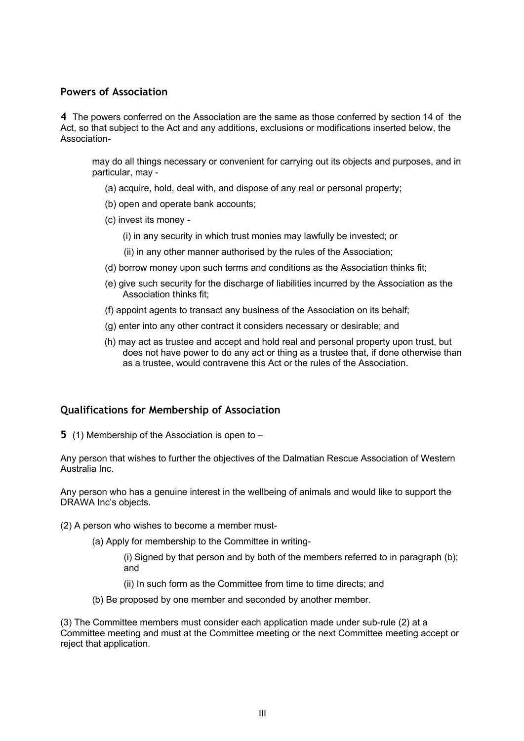## **Powers of Association**

**4** The powers conferred on the Association are the same as those conferred by section 14 of the Act, so that subject to the Act and any additions, exclusions or modifications inserted below, the Association-

may do all things necessary or convenient for carrying out its objects and purposes, and in particular, may -

- (a) acquire, hold, deal with, and dispose of any real or personal property;
- (b) open and operate bank accounts;
- (c) invest its money
	- (i) in any security in which trust monies may lawfully be invested; or
	- (ii) in any other manner authorised by the rules of the Association;
- (d) borrow money upon such terms and conditions as the Association thinks fit;
- (e) give such security for the discharge of liabilities incurred by the Association as the Association thinks fit;
- (f) appoint agents to transact any business of the Association on its behalf;
- (g) enter into any other contract it considers necessary or desirable; and
- (h) may act as trustee and accept and hold real and personal property upon trust, but does not have power to do any act or thing as a trustee that, if done otherwise than as a trustee, would contravene this Act or the rules of the Association.

# **Qualifications for Membership of Association**

**5** (1) Membership of the Association is open to –

Any person that wishes to further the objectives of the Dalmatian Rescue Association of Western Australia Inc.

Any person who has a genuine interest in the wellbeing of animals and would like to support the DRAWA Inc's objects.

- (2) A person who wishes to become a member must-
	- (a) Apply for membership to the Committee in writing-
		- (i) Signed by that person and by both of the members referred to in paragraph (b); and
		- (ii) In such form as the Committee from time to time directs; and
	- (b) Be proposed by one member and seconded by another member.

(3) The Committee members must consider each application made under sub-rule (2) at a Committee meeting and must at the Committee meeting or the next Committee meeting accept or reject that application.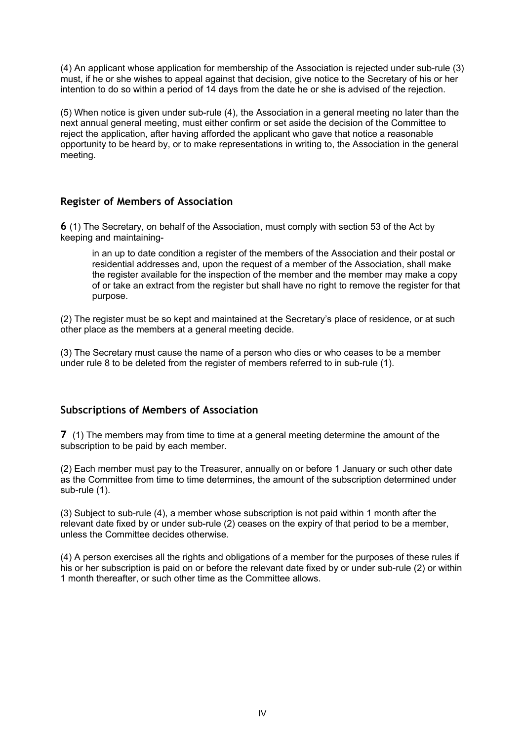(4) An applicant whose application for membership of the Association is rejected under sub-rule (3) must, if he or she wishes to appeal against that decision, give notice to the Secretary of his or her intention to do so within a period of 14 days from the date he or she is advised of the rejection.

(5) When notice is given under sub-rule (4), the Association in a general meeting no later than the next annual general meeting, must either confirm or set aside the decision of the Committee to reject the application, after having afforded the applicant who gave that notice a reasonable opportunity to be heard by, or to make representations in writing to, the Association in the general meeting.

# **Register of Members of Association**

**6** (1) The Secretary, on behalf of the Association, must comply with section 53 of the Act by keeping and maintaining-

in an up to date condition a register of the members of the Association and their postal or residential addresses and, upon the request of a member of the Association, shall make the register available for the inspection of the member and the member may make a copy of or take an extract from the register but shall have no right to remove the register for that purpose.

(2) The register must be so kept and maintained at the Secretary's place of residence, or at such other place as the members at a general meeting decide.

(3) The Secretary must cause the name of a person who dies or who ceases to be a member under rule 8 to be deleted from the register of members referred to in sub-rule (1).

# **Subscriptions of Members of Association**

**7** (1) The members may from time to time at a general meeting determine the amount of the subscription to be paid by each member.

(2) Each member must pay to the Treasurer, annually on or before 1 January or such other date as the Committee from time to time determines, the amount of the subscription determined under sub-rule (1).

(3) Subject to sub-rule (4), a member whose subscription is not paid within 1 month after the relevant date fixed by or under sub-rule (2) ceases on the expiry of that period to be a member, unless the Committee decides otherwise.

(4) A person exercises all the rights and obligations of a member for the purposes of these rules if his or her subscription is paid on or before the relevant date fixed by or under sub-rule (2) or within 1 month thereafter, or such other time as the Committee allows.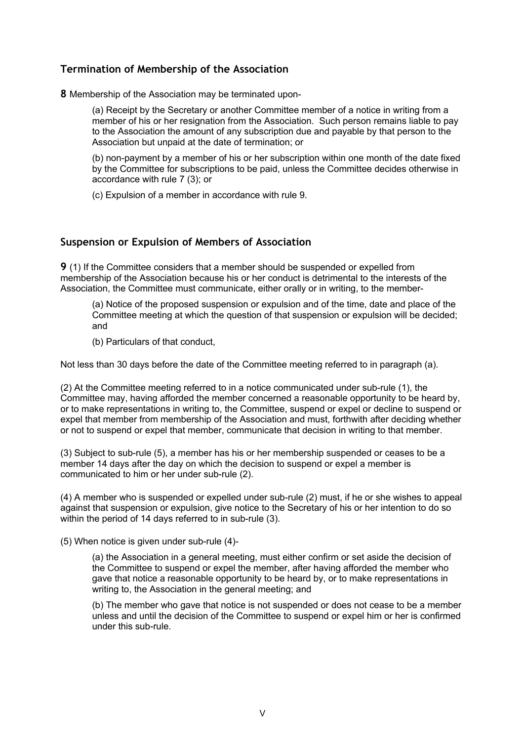# **Termination of Membership of the Association**

**8** Membership of the Association may be terminated upon-

(a) Receipt by the Secretary or another Committee member of a notice in writing from a member of his or her resignation from the Association. Such person remains liable to pay to the Association the amount of any subscription due and payable by that person to the Association but unpaid at the date of termination; or

(b) non-payment by a member of his or her subscription within one month of the date fixed by the Committee for subscriptions to be paid, unless the Committee decides otherwise in accordance with rule 7 (3); or

(c) Expulsion of a member in accordance with rule 9.

# **Suspension or Expulsion of Members of Association**

**9** (1) If the Committee considers that a member should be suspended or expelled from membership of the Association because his or her conduct is detrimental to the interests of the Association, the Committee must communicate, either orally or in writing, to the member-

(a) Notice of the proposed suspension or expulsion and of the time, date and place of the Committee meeting at which the question of that suspension or expulsion will be decided; and

(b) Particulars of that conduct,

Not less than 30 days before the date of the Committee meeting referred to in paragraph (a).

(2) At the Committee meeting referred to in a notice communicated under sub-rule (1), the Committee may, having afforded the member concerned a reasonable opportunity to be heard by, or to make representations in writing to, the Committee, suspend or expel or decline to suspend or expel that member from membership of the Association and must, forthwith after deciding whether or not to suspend or expel that member, communicate that decision in writing to that member.

(3) Subject to sub-rule (5), a member has his or her membership suspended or ceases to be a member 14 days after the day on which the decision to suspend or expel a member is communicated to him or her under sub-rule (2).

(4) A member who is suspended or expelled under sub-rule (2) must, if he or she wishes to appeal against that suspension or expulsion, give notice to the Secretary of his or her intention to do so within the period of 14 days referred to in sub-rule (3).

(5) When notice is given under sub-rule (4)-

(a) the Association in a general meeting, must either confirm or set aside the decision of the Committee to suspend or expel the member, after having afforded the member who gave that notice a reasonable opportunity to be heard by, or to make representations in writing to, the Association in the general meeting; and

(b) The member who gave that notice is not suspended or does not cease to be a member unless and until the decision of the Committee to suspend or expel him or her is confirmed under this sub-rule.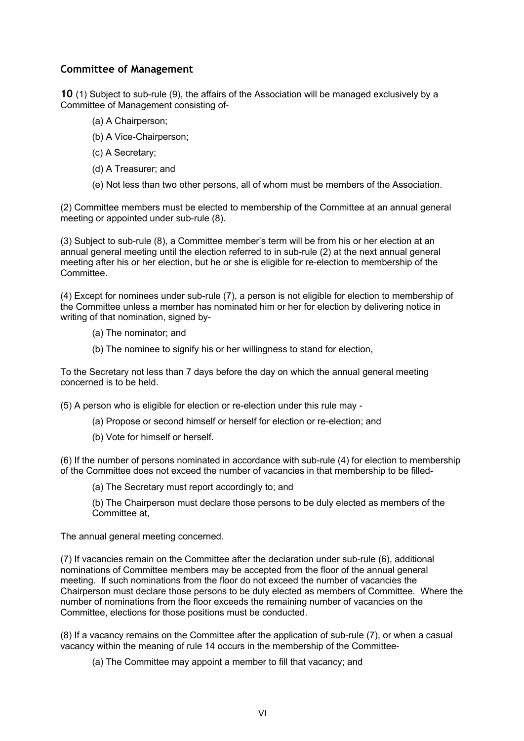## **Committee of Management**

**10** (1) Subject to sub-rule (9), the affairs of the Association will be managed exclusively by a Committee of Management consisting of-

- (a) A Chairperson;
- (b) A Vice-Chairperson;
- (c) A Secretary;
- (d) A Treasurer; and
- (e) Not less than two other persons, all of whom must be members of the Association.

(2) Committee members must be elected to membership of the Committee at an annual general meeting or appointed under sub-rule (8).

(3) Subject to sub-rule (8), a Committee member's term will be from his or her election at an annual general meeting until the election referred to in sub-rule (2) at the next annual general meeting after his or her election, but he or she is eligible for re-election to membership of the Committee.

(4) Except for nominees under sub-rule (7), a person is not eligible for election to membership of the Committee unless a member has nominated him or her for election by delivering notice in writing of that nomination, signed by-

- (a) The nominator; and
- (b) The nominee to signify his or her willingness to stand for election,

To the Secretary not less than 7 days before the day on which the annual general meeting concerned is to be held.

(5) A person who is eligible for election or re-election under this rule may -

- (a) Propose or second himself or herself for election or re-election; and
- (b) Vote for himself or herself.

(6) If the number of persons nominated in accordance with sub-rule (4) for election to membership of the Committee does not exceed the number of vacancies in that membership to be filled-

(a) The Secretary must report accordingly to; and

(b) The Chairperson must declare those persons to be duly elected as members of the Committee at,

The annual general meeting concerned.

(7) If vacancies remain on the Committee after the declaration under sub-rule (6), additional nominations of Committee members may be accepted from the floor of the annual general meeting. If such nominations from the floor do not exceed the number of vacancies the Chairperson must declare those persons to be duly elected as members of Committee. Where the number of nominations from the floor exceeds the remaining number of vacancies on the Committee, elections for those positions must be conducted.

(8) If a vacancy remains on the Committee after the application of sub-rule (7), or when a casual vacancy within the meaning of rule 14 occurs in the membership of the Committee-

(a) The Committee may appoint a member to fill that vacancy; and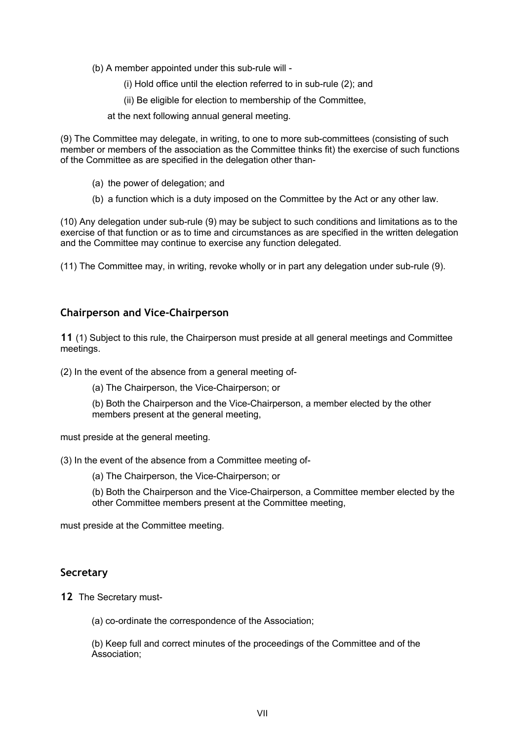(b) A member appointed under this sub-rule will -

(i) Hold office until the election referred to in sub-rule (2); and

(ii) Be eligible for election to membership of the Committee,

at the next following annual general meeting.

(9) The Committee may delegate, in writing, to one to more sub-committees (consisting of such member or members of the association as the Committee thinks fit) the exercise of such functions of the Committee as are specified in the delegation other than-

- (a) the power of delegation; and
- (b) a function which is a duty imposed on the Committee by the Act or any other law.

(10) Any delegation under sub-rule (9) may be subject to such conditions and limitations as to the exercise of that function or as to time and circumstances as are specified in the written delegation and the Committee may continue to exercise any function delegated.

(11) The Committee may, in writing, revoke wholly or in part any delegation under sub-rule (9).

#### **Chairperson and Vice-Chairperson**

**11** (1) Subject to this rule, the Chairperson must preside at all general meetings and Committee meetings.

(2) In the event of the absence from a general meeting of-

(a) The Chairperson, the Vice-Chairperson; or

(b) Both the Chairperson and the Vice-Chairperson, a member elected by the other members present at the general meeting,

must preside at the general meeting.

(3) In the event of the absence from a Committee meeting of-

(a) The Chairperson, the Vice-Chairperson; or

(b) Both the Chairperson and the Vice-Chairperson, a Committee member elected by the other Committee members present at the Committee meeting,

must preside at the Committee meeting.

#### **Secretary**

**12** The Secretary must-

(a) co-ordinate the correspondence of the Association;

(b) Keep full and correct minutes of the proceedings of the Committee and of the Association;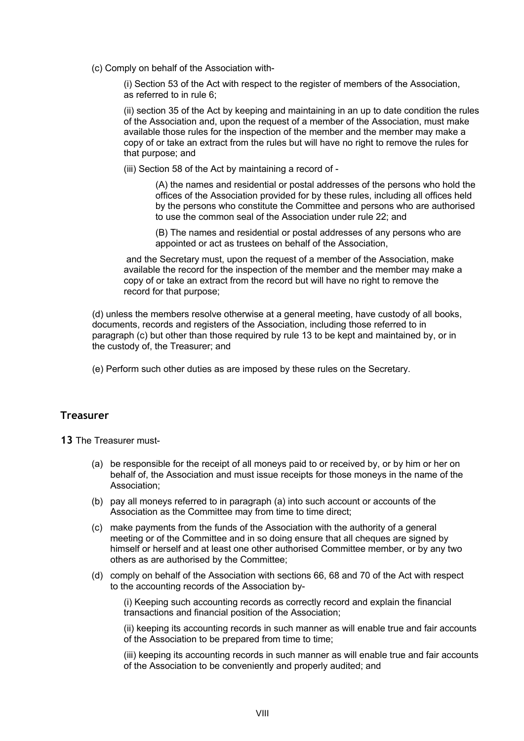(c) Comply on behalf of the Association with-

(i) Section 53 of the Act with respect to the register of members of the Association, as referred to in rule 6;

(ii) section 35 of the Act by keeping and maintaining in an up to date condition the rules of the Association and, upon the request of a member of the Association, must make available those rules for the inspection of the member and the member may make a copy of or take an extract from the rules but will have no right to remove the rules for that purpose; and

(iii) Section 58 of the Act by maintaining a record of -

(A) the names and residential or postal addresses of the persons who hold the offices of the Association provided for by these rules, including all offices held by the persons who constitute the Committee and persons who are authorised to use the common seal of the Association under rule 22; and

(B) The names and residential or postal addresses of any persons who are appointed or act as trustees on behalf of the Association,

and the Secretary must, upon the request of a member of the Association, make available the record for the inspection of the member and the member may make a copy of or take an extract from the record but will have no right to remove the record for that purpose;

(d) unless the members resolve otherwise at a general meeting, have custody of all books, documents, records and registers of the Association, including those referred to in paragraph (c) but other than those required by rule 13 to be kept and maintained by, or in the custody of, the Treasurer; and

(e) Perform such other duties as are imposed by these rules on the Secretary.

#### **Treasurer**

**13** The Treasurer must-

- (a) be responsible for the receipt of all moneys paid to or received by, or by him or her on behalf of, the Association and must issue receipts for those moneys in the name of the Association;
- (b) pay all moneys referred to in paragraph (a) into such account or accounts of the Association as the Committee may from time to time direct;
- (c) make payments from the funds of the Association with the authority of a general meeting or of the Committee and in so doing ensure that all cheques are signed by himself or herself and at least one other authorised Committee member, or by any two others as are authorised by the Committee;
- (d) comply on behalf of the Association with sections 66, 68 and 70 of the Act with respect to the accounting records of the Association by-

(i) Keeping such accounting records as correctly record and explain the financial transactions and financial position of the Association;

(ii) keeping its accounting records in such manner as will enable true and fair accounts of the Association to be prepared from time to time;

(iii) keeping its accounting records in such manner as will enable true and fair accounts of the Association to be conveniently and properly audited; and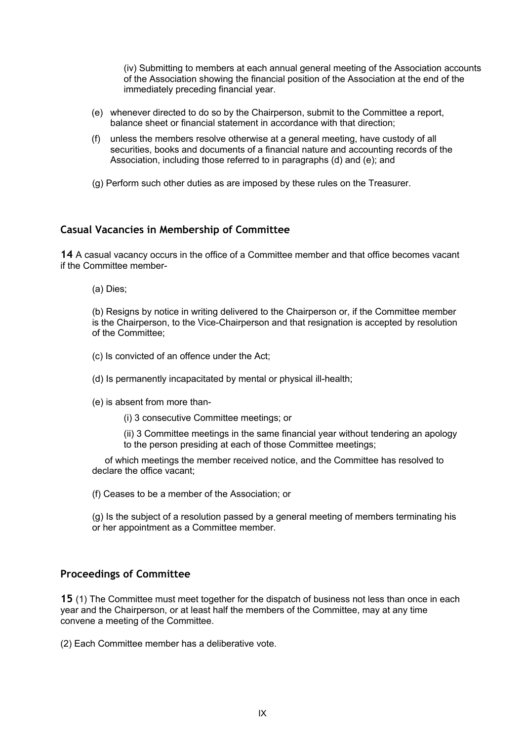(iv) Submitting to members at each annual general meeting of the Association accounts of the Association showing the financial position of the Association at the end of the immediately preceding financial year.

- (e) whenever directed to do so by the Chairperson, submit to the Committee a report, balance sheet or financial statement in accordance with that direction;
- (f) unless the members resolve otherwise at a general meeting, have custody of all securities, books and documents of a financial nature and accounting records of the Association, including those referred to in paragraphs (d) and (e); and
- (g) Perform such other duties as are imposed by these rules on the Treasurer.

## **Casual Vacancies in Membership of Committee**

**14** A casual vacancy occurs in the office of a Committee member and that office becomes vacant if the Committee member-

(a) Dies;

(b) Resigns by notice in writing delivered to the Chairperson or, if the Committee member is the Chairperson, to the Vice-Chairperson and that resignation is accepted by resolution of the Committee;

- (c) Is convicted of an offence under the Act;
- (d) Is permanently incapacitated by mental or physical ill-health;
- (e) is absent from more than-
	- (i) 3 consecutive Committee meetings; or

(ii) 3 Committee meetings in the same financial year without tendering an apology to the person presiding at each of those Committee meetings;

 of which meetings the member received notice, and the Committee has resolved to declare the office vacant;

(f) Ceases to be a member of the Association; or

(g) Is the subject of a resolution passed by a general meeting of members terminating his or her appointment as a Committee member.

# **Proceedings of Committee**

**15** (1) The Committee must meet together for the dispatch of business not less than once in each year and the Chairperson, or at least half the members of the Committee, may at any time convene a meeting of the Committee.

(2) Each Committee member has a deliberative vote.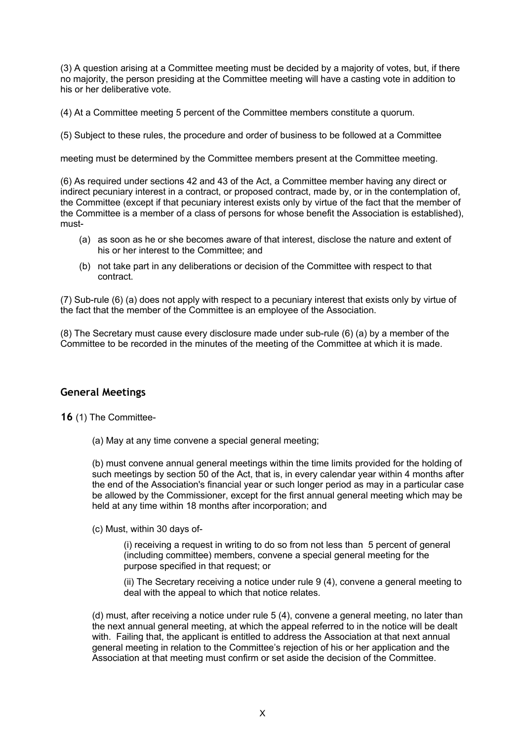(3) A question arising at a Committee meeting must be decided by a majority of votes, but, if there no majority, the person presiding at the Committee meeting will have a casting vote in addition to his or her deliberative vote.

(4) At a Committee meeting 5 percent of the Committee members constitute a quorum.

(5) Subject to these rules, the procedure and order of business to be followed at a Committee

meeting must be determined by the Committee members present at the Committee meeting.

(6) As required under sections 42 and 43 of the Act, a Committee member having any direct or indirect pecuniary interest in a contract, or proposed contract, made by, or in the contemplation of, the Committee (except if that pecuniary interest exists only by virtue of the fact that the member of the Committee is a member of a class of persons for whose benefit the Association is established), must-

- (a) as soon as he or she becomes aware of that interest, disclose the nature and extent of his or her interest to the Committee; and
- (b) not take part in any deliberations or decision of the Committee with respect to that contract.

(7) Sub-rule (6) (a) does not apply with respect to a pecuniary interest that exists only by virtue of the fact that the member of the Committee is an employee of the Association.

(8) The Secretary must cause every disclosure made under sub-rule (6) (a) by a member of the Committee to be recorded in the minutes of the meeting of the Committee at which it is made.

# **General Meetings**

**16** (1) The Committee-

(a) May at any time convene a special general meeting;

(b) must convene annual general meetings within the time limits provided for the holding of such meetings by section 50 of the Act, that is, in every calendar year within 4 months after the end of the Association's financial year or such longer period as may in a particular case be allowed by the Commissioner, except for the first annual general meeting which may be held at any time within 18 months after incorporation; and

(c) Must, within 30 days of-

(i) receiving a request in writing to do so from not less than 5 percent of general (including committee) members, convene a special general meeting for the purpose specified in that request; or

(ii) The Secretary receiving a notice under rule 9 (4), convene a general meeting to deal with the appeal to which that notice relates.

(d) must, after receiving a notice under rule 5 (4), convene a general meeting, no later than the next annual general meeting, at which the appeal referred to in the notice will be dealt with. Failing that, the applicant is entitled to address the Association at that next annual general meeting in relation to the Committee's rejection of his or her application and the Association at that meeting must confirm or set aside the decision of the Committee.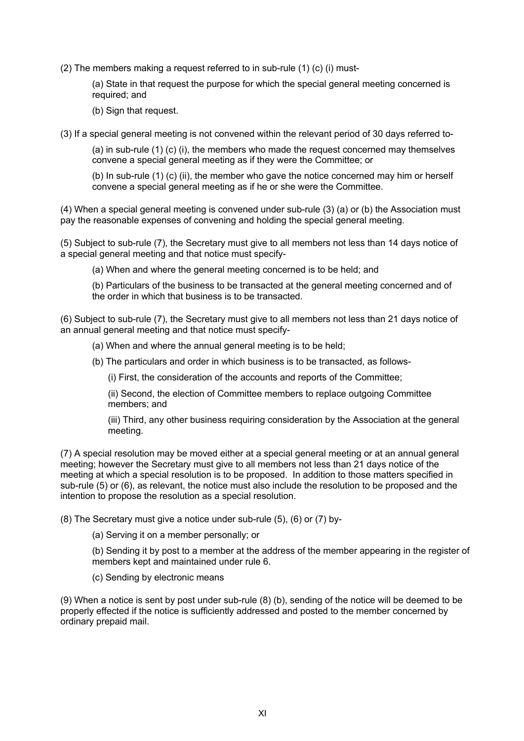(2) The members making a request referred to in sub-rule (1) (c) (i) must-

(a) State in that request the purpose for which the special general meeting concerned is required; and

(b) Sign that request.

(3) If a special general meeting is not convened within the relevant period of 30 days referred to-

(a) in sub-rule (1) (c) (i), the members who made the request concerned may themselves convene a special general meeting as if they were the Committee; or

(b) In sub-rule (1) (c) (ii), the member who gave the notice concerned may him or herself convene a special general meeting as if he or she were the Committee.

(4) When a special general meeting is convened under sub-rule (3) (a) or (b) the Association must pay the reasonable expenses of convening and holding the special general meeting.

(5) Subject to sub-rule (7), the Secretary must give to all members not less than 14 days notice of a special general meeting and that notice must specify-

(a) When and where the general meeting concerned is to be held; and

(b) Particulars of the business to be transacted at the general meeting concerned and of the order in which that business is to be transacted.

(6) Subject to sub-rule (7), the Secretary must give to all members not less than 21 days notice of an annual general meeting and that notice must specify-

(a) When and where the annual general meeting is to be held;

(b) The particulars and order in which business is to be transacted, as follows-

(i) First, the consideration of the accounts and reports of the Committee;

(ii) Second, the election of Committee members to replace outgoing Committee members; and

(iii) Third, any other business requiring consideration by the Association at the general meeting.

(7) A special resolution may be moved either at a special general meeting or at an annual general meeting; however the Secretary must give to all members not less than 21 days notice of the meeting at which a special resolution is to be proposed. In addition to those matters specified in sub-rule (5) or (6), as relevant, the notice must also include the resolution to be proposed and the intention to propose the resolution as a special resolution.

(8) The Secretary must give a notice under sub-rule (5), (6) or (7) by-

(a) Serving it on a member personally; or

(b) Sending it by post to a member at the address of the member appearing in the register of members kept and maintained under rule 6.

(c) Sending by electronic means

(9) When a notice is sent by post under sub-rule (8) (b), sending of the notice will be deemed to be properly effected if the notice is sufficiently addressed and posted to the member concerned by ordinary prepaid mail.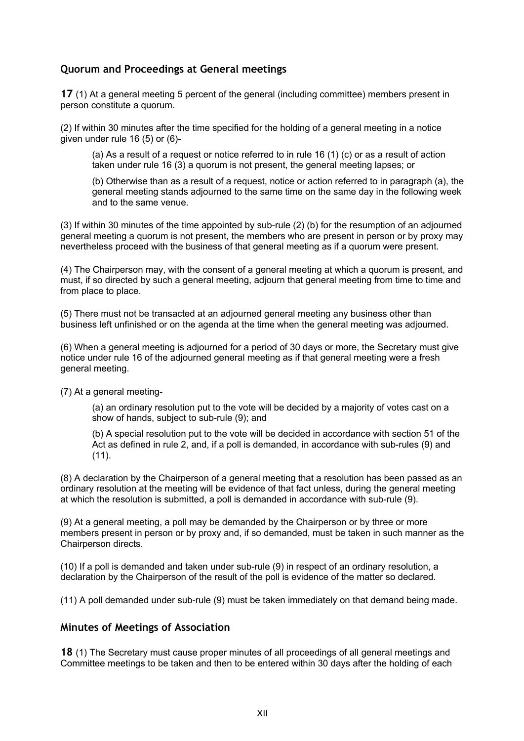# **Quorum and Proceedings at General meetings**

**17** (1) At a general meeting 5 percent of the general (including committee) members present in person constitute a quorum.

(2) If within 30 minutes after the time specified for the holding of a general meeting in a notice given under rule 16 (5) or (6)-

(a) As a result of a request or notice referred to in rule 16 (1) (c) or as a result of action taken under rule 16 (3) a quorum is not present, the general meeting lapses; or

(b) Otherwise than as a result of a request, notice or action referred to in paragraph (a), the general meeting stands adjourned to the same time on the same day in the following week and to the same venue.

(3) If within 30 minutes of the time appointed by sub-rule (2) (b) for the resumption of an adjourned general meeting a quorum is not present, the members who are present in person or by proxy may nevertheless proceed with the business of that general meeting as if a quorum were present.

(4) The Chairperson may, with the consent of a general meeting at which a quorum is present, and must, if so directed by such a general meeting, adjourn that general meeting from time to time and from place to place.

(5) There must not be transacted at an adjourned general meeting any business other than business left unfinished or on the agenda at the time when the general meeting was adjourned.

(6) When a general meeting is adjourned for a period of 30 days or more, the Secretary must give notice under rule 16 of the adjourned general meeting as if that general meeting were a fresh general meeting.

(7) At a general meeting-

(a) an ordinary resolution put to the vote will be decided by a majority of votes cast on a show of hands, subject to sub-rule (9); and

(b) A special resolution put to the vote will be decided in accordance with section 51 of the Act as defined in rule 2, and, if a poll is demanded, in accordance with sub-rules (9) and (11).

(8) A declaration by the Chairperson of a general meeting that a resolution has been passed as an ordinary resolution at the meeting will be evidence of that fact unless, during the general meeting at which the resolution is submitted, a poll is demanded in accordance with sub-rule (9).

(9) At a general meeting, a poll may be demanded by the Chairperson or by three or more members present in person or by proxy and, if so demanded, must be taken in such manner as the Chairperson directs.

(10) If a poll is demanded and taken under sub-rule (9) in respect of an ordinary resolution, a declaration by the Chairperson of the result of the poll is evidence of the matter so declared.

(11) A poll demanded under sub-rule (9) must be taken immediately on that demand being made.

#### **Minutes of Meetings of Association**

**18** (1) The Secretary must cause proper minutes of all proceedings of all general meetings and Committee meetings to be taken and then to be entered within 30 days after the holding of each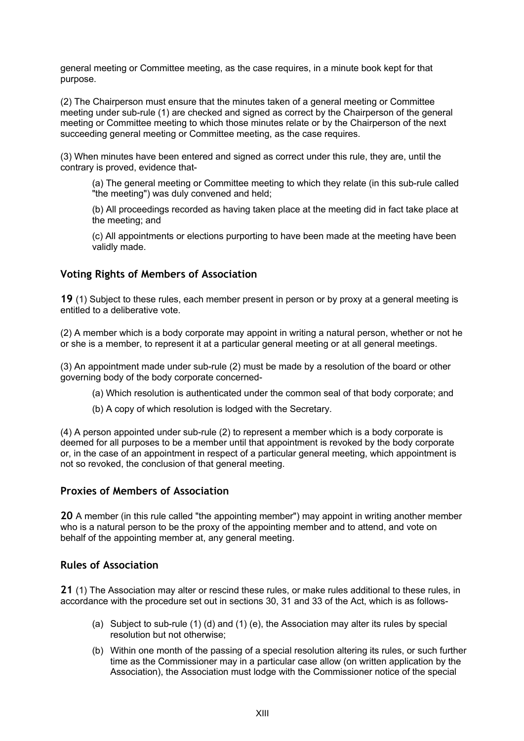general meeting or Committee meeting, as the case requires, in a minute book kept for that purpose.

(2) The Chairperson must ensure that the minutes taken of a general meeting or Committee meeting under sub-rule (1) are checked and signed as correct by the Chairperson of the general meeting or Committee meeting to which those minutes relate or by the Chairperson of the next succeeding general meeting or Committee meeting, as the case requires.

(3) When minutes have been entered and signed as correct under this rule, they are, until the contrary is proved, evidence that-

(a) The general meeting or Committee meeting to which they relate (in this sub-rule called "the meeting") was duly convened and held;

(b) All proceedings recorded as having taken place at the meeting did in fact take place at the meeting; and

(c) All appointments or elections purporting to have been made at the meeting have been validly made.

## **Voting Rights of Members of Association**

**19** (1) Subject to these rules, each member present in person or by proxy at a general meeting is entitled to a deliberative vote.

(2) A member which is a body corporate may appoint in writing a natural person, whether or not he or she is a member, to represent it at a particular general meeting or at all general meetings.

(3) An appointment made under sub-rule (2) must be made by a resolution of the board or other governing body of the body corporate concerned-

- (a) Which resolution is authenticated under the common seal of that body corporate; and
- (b) A copy of which resolution is lodged with the Secretary.

(4) A person appointed under sub-rule (2) to represent a member which is a body corporate is deemed for all purposes to be a member until that appointment is revoked by the body corporate or, in the case of an appointment in respect of a particular general meeting, which appointment is not so revoked, the conclusion of that general meeting.

#### **Proxies of Members of Association**

**20** A member (in this rule called "the appointing member") may appoint in writing another member who is a natural person to be the proxy of the appointing member and to attend, and vote on behalf of the appointing member at, any general meeting.

#### **Rules of Association**

**21** (1) The Association may alter or rescind these rules, or make rules additional to these rules, in accordance with the procedure set out in sections 30, 31 and 33 of the Act, which is as follows-

- (a) Subject to sub-rule (1) (d) and (1) (e), the Association may alter its rules by special resolution but not otherwise;
- (b) Within one month of the passing of a special resolution altering its rules, or such further time as the Commissioner may in a particular case allow (on written application by the Association), the Association must lodge with the Commissioner notice of the special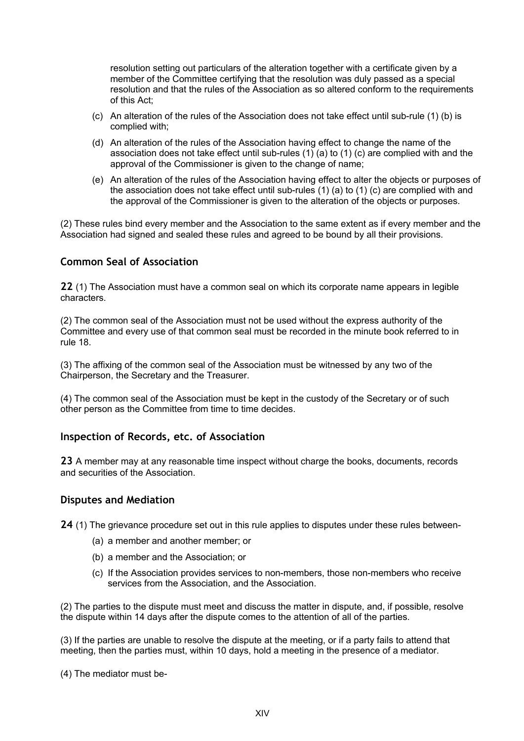resolution setting out particulars of the alteration together with a certificate given by a member of the Committee certifying that the resolution was duly passed as a special resolution and that the rules of the Association as so altered conform to the requirements of this Act;

- (c) An alteration of the rules of the Association does not take effect until sub-rule (1) (b) is complied with;
- (d) An alteration of the rules of the Association having effect to change the name of the association does not take effect until sub-rules (1) (a) to (1) (c) are complied with and the approval of the Commissioner is given to the change of name;
- (e) An alteration of the rules of the Association having effect to alter the objects or purposes of the association does not take effect until sub-rules (1) (a) to (1) (c) are complied with and the approval of the Commissioner is given to the alteration of the objects or purposes.

(2) These rules bind every member and the Association to the same extent as if every member and the Association had signed and sealed these rules and agreed to be bound by all their provisions.

# **Common Seal of Association**

**22** (1) The Association must have a common seal on which its corporate name appears in legible characters.

(2) The common seal of the Association must not be used without the express authority of the Committee and every use of that common seal must be recorded in the minute book referred to in rule 18.

(3) The affixing of the common seal of the Association must be witnessed by any two of the Chairperson, the Secretary and the Treasurer.

(4) The common seal of the Association must be kept in the custody of the Secretary or of such other person as the Committee from time to time decides.

#### **Inspection of Records, etc. of Association**

**23** A member may at any reasonable time inspect without charge the books, documents, records and securities of the Association.

#### **Disputes and Mediation**

**24** (1) The grievance procedure set out in this rule applies to disputes under these rules between-

- (a) a member and another member; or
- (b) a member and the Association; or
- (c) If the Association provides services to non-members, those non-members who receive services from the Association, and the Association.

(2) The parties to the dispute must meet and discuss the matter in dispute, and, if possible, resolve the dispute within 14 days after the dispute comes to the attention of all of the parties.

(3) If the parties are unable to resolve the dispute at the meeting, or if a party fails to attend that meeting, then the parties must, within 10 days, hold a meeting in the presence of a mediator.

(4) The mediator must be-